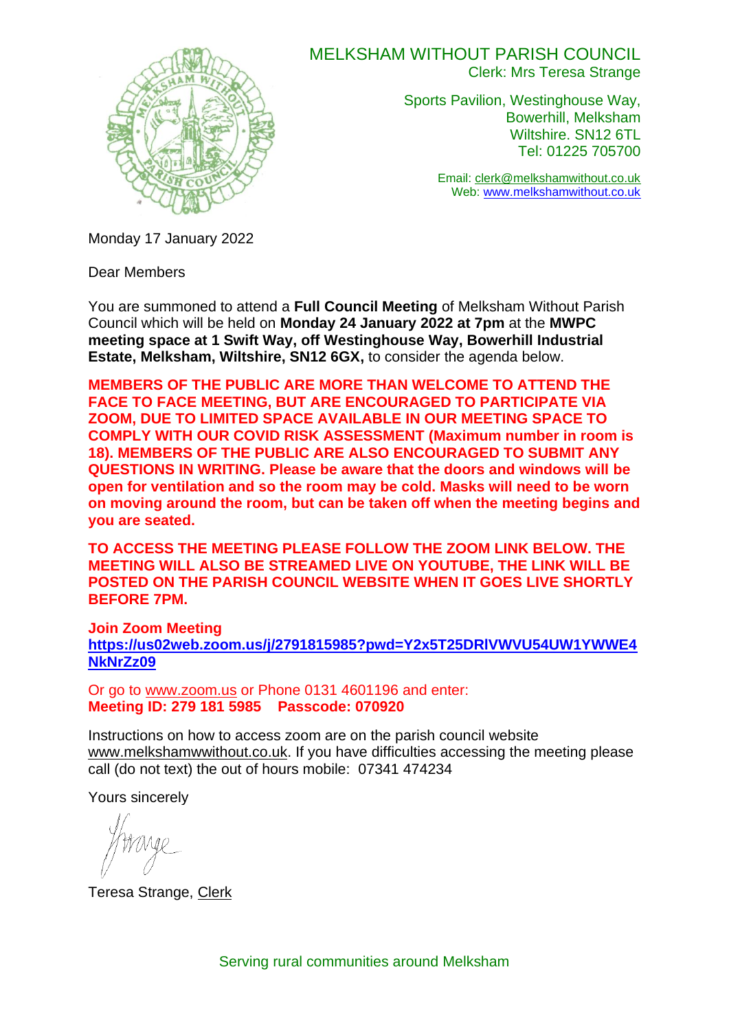

# MELKSHAM WITHOUT PARISH COUNCIL

Clerk: Mrs Teresa Strange

Sports Pavilion, Westinghouse Way, Bowerhill, Melksham Wiltshire. SN12 6TL Tel: 01225 705700

> Email: [clerk@melkshamwithout.co.uk](mailto:clerk@melkshamwithout.co.uk) Web: [www.melkshamwithout.co.uk](http://www.melkshamwithout.co.uk/)

Monday 17 January 2022

Dear Members

You are summoned to attend a **Full Council Meeting** of Melksham Without Parish Council which will be held on **Monday 24 January 2022 at 7pm** at the **MWPC meeting space at 1 Swift Way, off Westinghouse Way, Bowerhill Industrial Estate, Melksham, Wiltshire, SN12 6GX,** to consider the agenda below.

**MEMBERS OF THE PUBLIC ARE MORE THAN WELCOME TO ATTEND THE FACE TO FACE MEETING, BUT ARE ENCOURAGED TO PARTICIPATE VIA ZOOM, DUE TO LIMITED SPACE AVAILABLE IN OUR MEETING SPACE TO COMPLY WITH OUR COVID RISK ASSESSMENT (Maximum number in room is 18). MEMBERS OF THE PUBLIC ARE ALSO ENCOURAGED TO SUBMIT ANY QUESTIONS IN WRITING. Please be aware that the doors and windows will be open for ventilation and so the room may be cold. Masks will need to be worn on moving around the room, but can be taken off when the meeting begins and you are seated.** 

**TO ACCESS THE MEETING PLEASE FOLLOW THE ZOOM LINK BELOW. THE MEETING WILL ALSO BE STREAMED LIVE ON YOUTUBE, THE LINK WILL BE POSTED ON THE PARISH COUNCIL WEBSITE WHEN IT GOES LIVE SHORTLY BEFORE 7PM.**

**Join Zoom Meeting [https://us02web.zoom.us/j/2791815985?pwd=Y2x5T25DRlVWVU54UW1YWWE4](https://us02web.zoom.us/j/2791815985?pwd=Y2x5T25DRlVWVU54UW1YWWE4NkNrZz09) [NkNrZz09](https://us02web.zoom.us/j/2791815985?pwd=Y2x5T25DRlVWVU54UW1YWWE4NkNrZz09)**

Or go to [www.zoom.us](http://www.zoom.us/) or Phone 0131 4601196 and enter: **Meeting ID: 279 181 5985 Passcode: 070920**

Instructions on how to access zoom are on the parish council website [www.melkshamwwithout.co.uk.](http://www.melkshamwwithout.co.uk/) If you have difficulties accessing the meeting please call (do not text) the out of hours mobile: 07341 474234

Yours sincerely

Teresa Strange, Clerk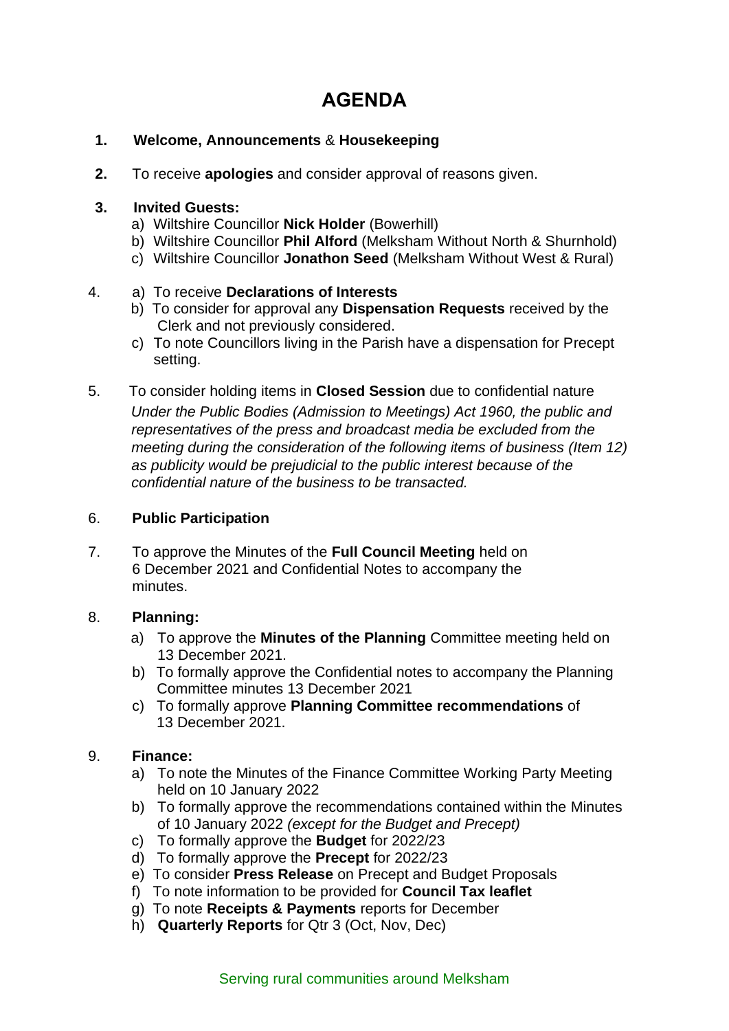# **AGENDA**

### **1. Welcome, Announcements** & **Housekeeping**

**2.** To receive **apologies** and consider approval of reasons given.

### **3. Invited Guests:**

- a) Wiltshire Councillor **Nick Holder** (Bowerhill)
- b) Wiltshire Councillor **Phil Alford** (Melksham Without North & Shurnhold)
- c) Wiltshire Councillor **Jonathon Seed** (Melksham Without West & Rural)

### 4. a) To receive **Declarations of Interests**

- b) To consider for approval any **Dispensation Requests** received by the Clerk and not previously considered.
- c) To note Councillors living in the Parish have a dispensation for Precept setting.
- 5. To consider holding items in **Closed Session** due to confidential nature  *Under the Public Bodies (Admission to Meetings) Act 1960, the public and representatives of the press and broadcast media be excluded from the meeting during the consideration of the following items of business (Item 12) as publicity would be prejudicial to the public interest because of the confidential nature of the business to be transacted.*

## 6. **Public Participation**

7. To approve the Minutes of the **Full Council Meeting** held on 6 December 2021 and Confidential Notes to accompany the minutes.

# 8. **Planning:**

- a) To approve the **Minutes of the Planning** Committee meeting held on 13 December 2021.
- b) To formally approve the Confidential notes to accompany the Planning Committee minutes 13 December 2021
- c) To formally approve **Planning Committee recommendations** of 13 December 2021.

# 9. **Finance:**

- a) To note the Minutes of the Finance Committee Working Party Meeting held on 10 January 2022
- b) To formally approve the recommendations contained within the Minutes of 10 January 2022 *(except for the Budget and Precept)*
- c) To formally approve the **Budget** for 2022/23
- d) To formally approve the **Precept** for 2022/23
- e) To consider **Press Release** on Precept and Budget Proposals
- f) To note information to be provided for **Council Tax leaflet**
- g) To note **Receipts & Payments** reports for December
- h) **Quarterly Reports** for Qtr 3 (Oct, Nov, Dec)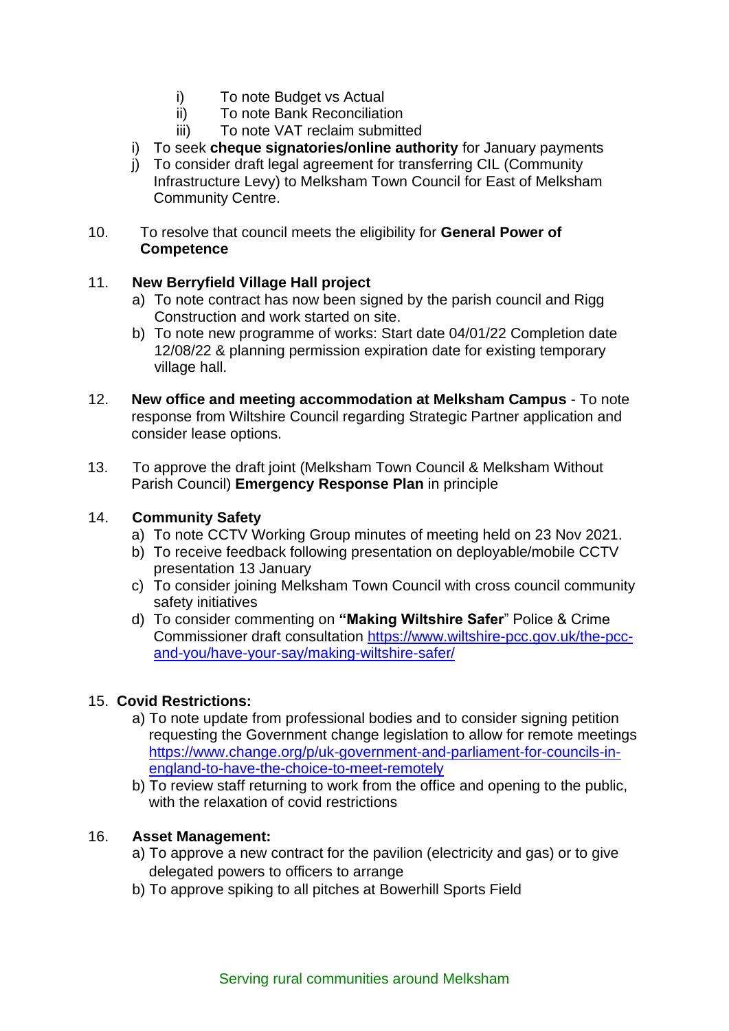- i) To note Budget vs Actual
- ii) To note Bank Reconciliation
- iii) To note VAT reclaim submitted
- i) To seek **cheque signatories/online authority** for January payments
- j) To consider draft legal agreement for transferring CIL (Community Infrastructure Levy) to Melksham Town Council for East of Melksham Community Centre.
- 10. To resolve that council meets the eligibility for **General Power of Competence**

### 11. **New Berryfield Village Hall project**

- a) To note contract has now been signed by the parish council and Rigg Construction and work started on site.
- b) To note new programme of works: Start date 04/01/22 Completion date 12/08/22 & planning permission expiration date for existing temporary village hall.
- 12. **New office and meeting accommodation at Melksham Campus** To note response from Wiltshire Council regarding Strategic Partner application and consider lease options.
- 13. To approve the draft joint (Melksham Town Council & Melksham Without Parish Council) **Emergency Response Plan** in principle

#### 14. **Community Safety**

- a) To note CCTV Working Group minutes of meeting held on 23 Nov 2021.
- b) To receive feedback following presentation on deployable/mobile CCTV presentation 13 January
- c) To consider joining Melksham Town Council with cross council community safety initiatives
- d) To consider commenting on **"Making Wiltshire Safer**" Police & Crime Commissioner draft consultation [https://www.wiltshire-pcc.gov.uk/the-pcc](https://www.wiltshire-pcc.gov.uk/the-pcc-and-you/have-your-say/making-wiltshire-safer/)[and-you/have-your-say/making-wiltshire-safer/](https://www.wiltshire-pcc.gov.uk/the-pcc-and-you/have-your-say/making-wiltshire-safer/)

# 15. **Covid Restrictions:**

- a) To note update from professional bodies and to consider signing petition requesting the Government change legislation to allow for remote meetings [https://www.change.org/p/uk-government-and-parliament-for-councils-in](https://www.change.org/p/uk-government-and-parliament-for-councils-in-england-to-have-the-choice-to-meet-remotely)[england-to-have-the-choice-to-meet-remotely](https://www.change.org/p/uk-government-and-parliament-for-councils-in-england-to-have-the-choice-to-meet-remotely)
- b) To review staff returning to work from the office and opening to the public, with the relaxation of covid restrictions

# 16. **Asset Management:**

- a) To approve a new contract for the pavilion (electricity and gas) or to give delegated powers to officers to arrange
- b) To approve spiking to all pitches at Bowerhill Sports Field